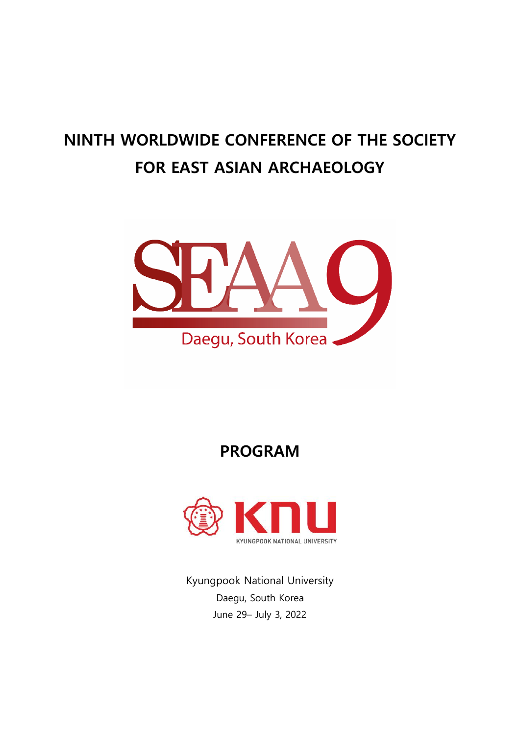# **NINTH WORLDWIDE CONFERENCE OF THE SOCIETY FOR EAST ASIAN ARCHAEOLOGY**



**PROGRAM**



Kyungpook National University Daegu, South Korea June 29– July 3, 2022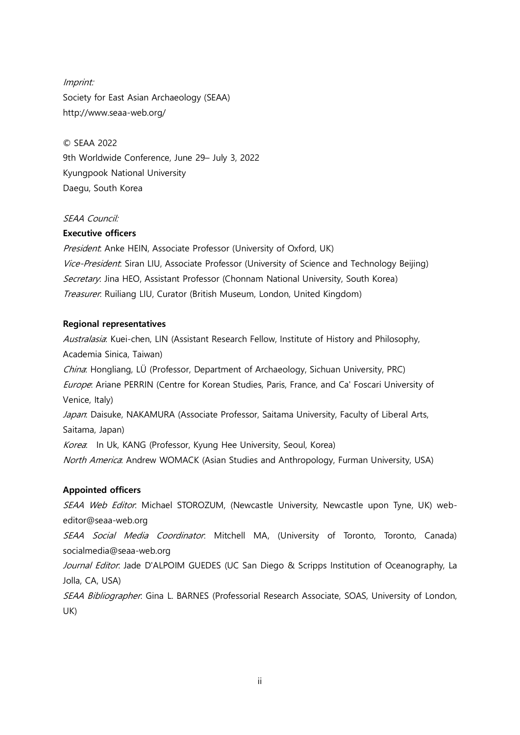Imprint: Society for East Asian Archaeology (SEAA) http://www.seaa-web.org/

© SEAA 2022 9th Worldwide Conference, June 29– July 3, 2022 Kyungpook National University Daegu, South Korea

#### SEAA Council:

#### **Executive officers**

President: Anke HEIN, Associate Professor (University of Oxford, UK) Vice-President: Siran LIU, Associate Professor (University of Science and Technology Beijing) Secretary: Jina HEO, Assistant Professor (Chonnam National University, South Korea) Treasurer: Ruiliang LIU, Curator (British Museum, London, United Kingdom)

#### **Regional representatives**

Australasia: Kuei-chen, LIN (Assistant Research Fellow, Institute of History and Philosophy, Academia Sinica, Taiwan) China: Hongliang, LÜ (Professor, Department of Archaeology, Sichuan University, PRC) Europe: Ariane PERRIN (Centre for Korean Studies, Paris, France, and Ca' Foscari University of Venice, Italy) Japan: Daisuke, NAKAMURA (Associate Professor, Saitama University, Faculty of Liberal Arts, Saitama, Japan) Korea: In Uk, KANG (Professor, Kyung Hee University, Seoul, Korea) North America: Andrew WOMACK (Asian Studies and Anthropology, Furman University, USA)

### **Appointed officers**

SEAA Web Editor: Michael STOROZUM, (Newcastle University, Newcastle upon Tyne, UK) webeditor@seaa-web.org

SEAA Social Media Coordinator: Mitchell MA, (University of Toronto, Toronto, Canada) socialmedia@seaa-web.org

Journal Editor: Jade D'ALPOIM GUEDES (UC San Diego & Scripps Institution of Oceanography, La Jolla, CA, USA)

SEAA Bibliographer: Gina L. BARNES (Professorial Research Associate, SOAS, University of London, UK)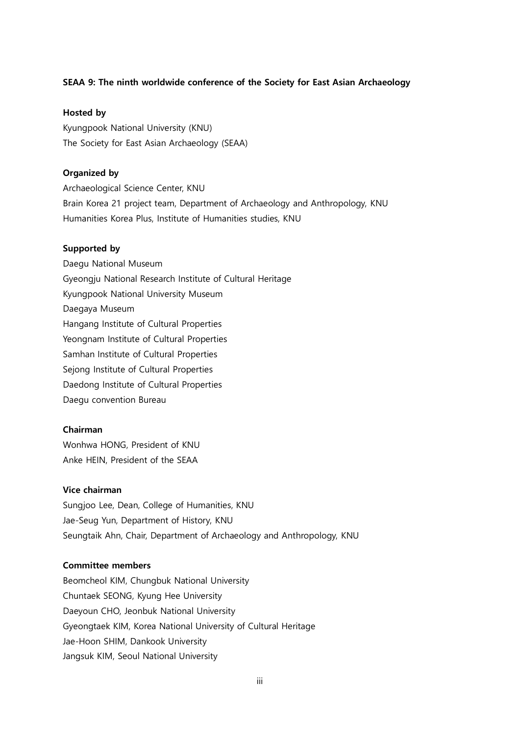#### **SEAA 9: The ninth worldwide conference of the Society for East Asian Archaeology**

#### **Hosted by**

Kyungpook National University (KNU) The Society for East Asian Archaeology (SEAA)

#### **Organized by**

Archaeological Science Center, KNU Brain Korea 21 project team, Department of Archaeology and Anthropology, KNU Humanities Korea Plus, Institute of Humanities studies, KNU

#### **Supported by**

Daegu National Museum Gyeongju National Research Institute of Cultural Heritage Kyungpook National University Museum Daegaya Museum Hangang Institute of Cultural Properties Yeongnam Institute of Cultural Properties Samhan Institute of Cultural Properties Sejong Institute of Cultural Properties Daedong Institute of Cultural Properties Daegu convention Bureau

#### **Chairman**

Wonhwa HONG, President of KNU Anke HEIN, President of the SEAA

#### **Vice chairman**

Sungjoo Lee, Dean, College of Humanities, KNU Jae-Seug Yun, Department of History, KNU Seungtaik Ahn, Chair, Department of Archaeology and Anthropology, KNU

#### **Committee members**

Beomcheol KIM, Chungbuk National University Chuntaek SEONG, Kyung Hee University Daeyoun CHO, Jeonbuk National University Gyeongtaek KIM, Korea National University of Cultural Heritage Jae-Hoon SHIM, Dankook University Jangsuk KIM, Seoul National University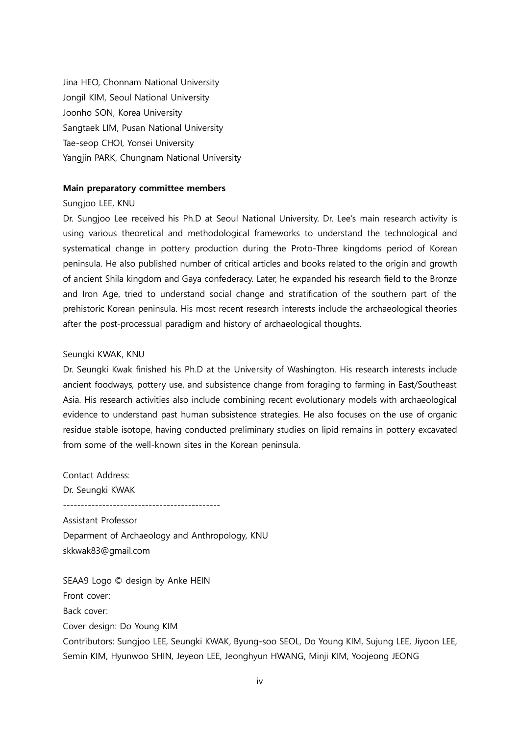Jina HEO, Chonnam National University Jongil KIM, Seoul National University Joonho SON, Korea University Sangtaek LIM, Pusan National University Tae-seop CHOI, Yonsei University Yangjin PARK, Chungnam National University

#### **Main preparatory committee members**

#### Sungjoo LEE, KNU

Dr. Sungjoo Lee received his Ph.D at Seoul National University. Dr. Lee's main research activity is using various theoretical and methodological frameworks to understand the technological and systematical change in pottery production during the Proto-Three kingdoms period of Korean peninsula. He also published number of critical articles and books related to the origin and growth of ancient Shila kingdom and Gaya confederacy. Later, he expanded his research field to the Bronze and Iron Age, tried to understand social change and stratification of the southern part of the prehistoric Korean peninsula. His most recent research interests include the archaeological theories after the post-processual paradigm and history of archaeological thoughts.

#### Seungki KWAK, KNU

Contact Address:

Dr. Seungki Kwak finished his Ph.D at the University of Washington. His research interests include ancient foodways, pottery use, and subsistence change from foraging to farming in East/Southeast Asia. His research activities also include combining recent evolutionary models with archaeological evidence to understand past human subsistence strategies. He also focuses on the use of organic residue stable isotope, having conducted preliminary studies on lipid remains in pottery excavated from some of the well-known sites in the Korean peninsula.

Dr. Seungki KWAK -------------------------------------------- Assistant Professor Deparment of Archaeology and Anthropology, KNU skkwak83@gmail.com

SEAA9 Logo © design by Anke HEIN Front cover: Back cover: Cover design: Do Young KIM Contributors: Sungjoo LEE, Seungki KWAK, Byung-soo SEOL, Do Young KIM, Sujung LEE, Jiyoon LEE, Semin KIM, Hyunwoo SHIN, Jeyeon LEE, Jeonghyun HWANG, Minji KIM, Yoojeong JEONG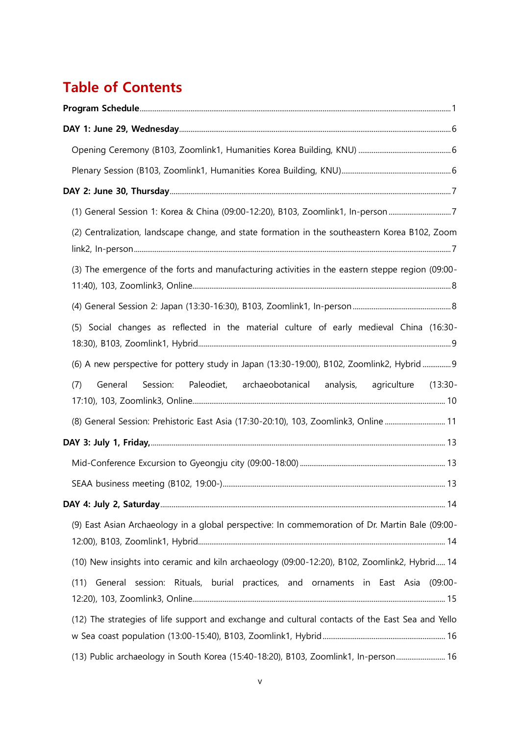# **Table of Contents**

| (1) General Session 1: Korea & China (09:00-12:20), B103, Zoomlink1, In-person7                  |
|--------------------------------------------------------------------------------------------------|
| (2) Centralization, landscape change, and state formation in the southeastern Korea B102, Zoom   |
| (3) The emergence of the forts and manufacturing activities in the eastern steppe region (09:00- |
|                                                                                                  |
| (5) Social changes as reflected in the material culture of early medieval China (16:30-          |
| (6) A new perspective for pottery study in Japan (13:30-19:00), B102, Zoomlink2, Hybrid  9       |
| General Session: Paleodiet, archaeobotanical analysis, agriculture (13:30-<br>(7)                |
| (8) General Session: Prehistoric East Asia (17:30-20:10), 103, Zoomlink3, Online  11             |
|                                                                                                  |
|                                                                                                  |
|                                                                                                  |
|                                                                                                  |
| (9) East Asian Archaeology in a global perspective: In commemoration of Dr. Martin Bale (09:00-  |
| (10) New insights into ceramic and kiln archaeology (09:00-12:20), B102, Zoomlink2, Hybrid 14    |
| session: Rituals, burial practices, and ornaments in East Asia<br>General<br>(11)<br>(09:00-     |
| (12) The strategies of life support and exchange and cultural contacts of the East Sea and Yello |
| (13) Public archaeology in South Korea (15:40-18:20), B103, Zoomlink1, In-person 16              |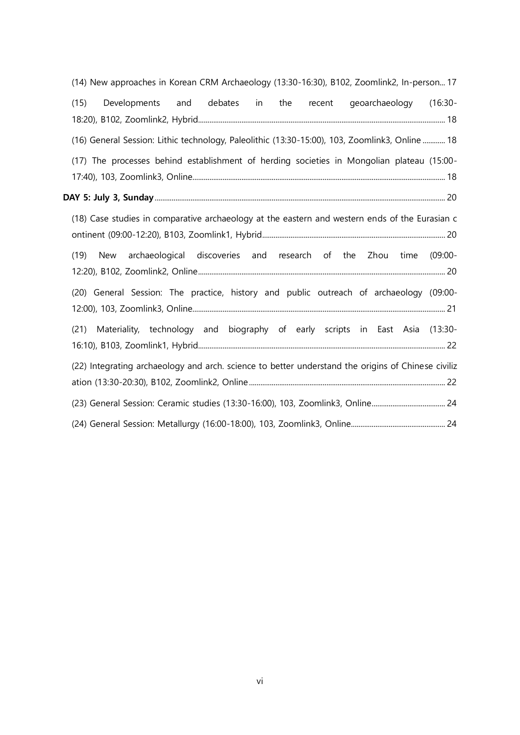| (14) New approaches in Korean CRM Archaeology (13:30-16:30), B102, Zoomlink2, In-person 17         |
|----------------------------------------------------------------------------------------------------|
| qeoarchaeology (16:30-<br>(15)<br>Developments and debates in the recent                           |
| (16) General Session: Lithic technology, Paleolithic (13:30-15:00), 103, Zoomlink3, Online  18     |
| (17) The processes behind establishment of herding societies in Mongolian plateau (15:00-          |
|                                                                                                    |
| (18) Case studies in comparative archaeology at the eastern and western ends of the Eurasian c     |
| New archaeological discoveries and research of the Zhou time<br>(19)<br>$(09:00 -$                 |
| (20) General Session: The practice, history and public outreach of archaeology (09:00-             |
| (21) Materiality, technology and biography of early scripts in East Asia (13:30-                   |
| (22) Integrating archaeology and arch. science to better understand the origins of Chinese civiliz |
|                                                                                                    |
|                                                                                                    |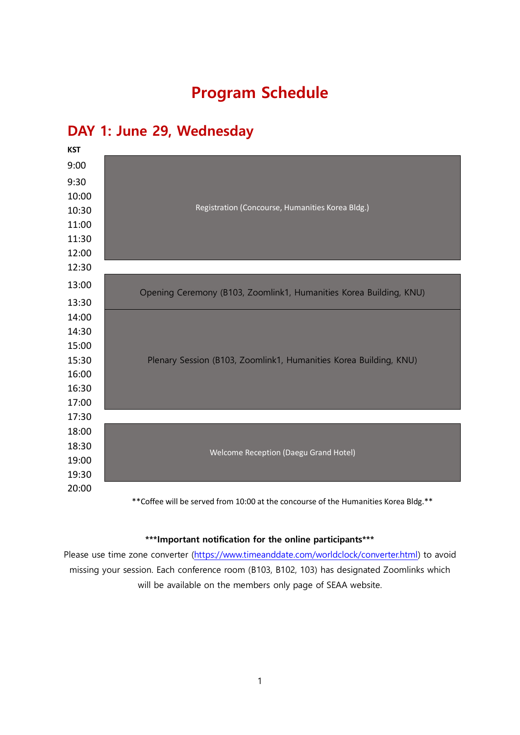# **Program Schedule**

## <span id="page-6-0"></span>**[DAY 1: June 29, Wednesday](#page-11-0)**



### **\*\*\*Important notification for the online participants\*\*\***

Please use time zone converter [\(https://www.timeanddate.com/worldclock/converter.html\)](https://www.timeanddate.com/worldclock/converter.html) to avoid missing your session. Each conference room (B103, B102, 103) has designated Zoomlinks which will be available on the members only page of SEAA website.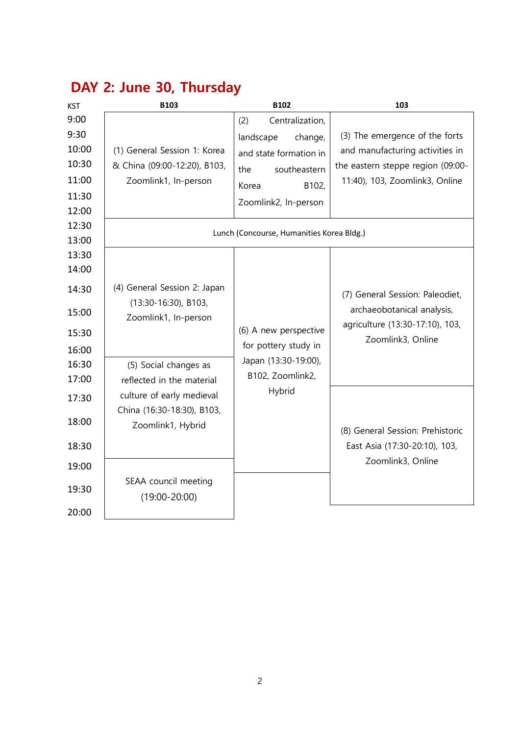| <b>KST</b>                                                | <b>B103</b>                                                                          | <b>B102</b>                                                                                                                               | 103                                                                                                                                      |  |  |  |
|-----------------------------------------------------------|--------------------------------------------------------------------------------------|-------------------------------------------------------------------------------------------------------------------------------------------|------------------------------------------------------------------------------------------------------------------------------------------|--|--|--|
| 9:00<br>9:30<br>10:00<br>10:30<br>11:00<br>11:30<br>12:00 | (1) General Session 1: Korea<br>& China (09:00-12:20), B103,<br>Zoomlink1, In-person | Centralization,<br>(2)<br>landscape<br>change,<br>and state formation in<br>southeastern<br>the<br>B102,<br>Korea<br>Zoomlink2, In-person | (3) The emergence of the forts<br>and manufacturing activities in<br>the eastern steppe region (09:00-<br>11:40), 103, Zoomlink3, Online |  |  |  |
| 12:30<br>13:00                                            | Lunch (Concourse, Humanities Korea Bldg.)                                            |                                                                                                                                           |                                                                                                                                          |  |  |  |
| 13:30<br>14:00                                            |                                                                                      |                                                                                                                                           |                                                                                                                                          |  |  |  |
| 14:30                                                     | (4) General Session 2: Japan                                                         |                                                                                                                                           | (7) General Session: Paleodiet,                                                                                                          |  |  |  |
| 15:00                                                     | $(13:30-16:30)$ , B103,<br>Zoomlink1, In-person                                      |                                                                                                                                           | archaeobotanical analysis,<br>agriculture (13:30-17:10), 103,                                                                            |  |  |  |
| 15:30                                                     |                                                                                      | (6) A new perspective                                                                                                                     | Zoomlink3, Online                                                                                                                        |  |  |  |
| 16:00<br>16:30<br>17:00                                   | (5) Social changes as<br>reflected in the material                                   | for pottery study in<br>Japan (13:30-19:00),<br>B102, Zoomlink2,<br>Hybrid                                                                |                                                                                                                                          |  |  |  |
| 17:30                                                     | culture of early medieval                                                            |                                                                                                                                           | (8) General Session: Prehistoric                                                                                                         |  |  |  |
| 18:00                                                     | China (16:30-18:30), B103,<br>Zoomlink1, Hybrid                                      |                                                                                                                                           |                                                                                                                                          |  |  |  |
| 18:30                                                     |                                                                                      |                                                                                                                                           | East Asia (17:30-20:10), 103,                                                                                                            |  |  |  |
| 19:00                                                     |                                                                                      |                                                                                                                                           | Zoomlink3, Online                                                                                                                        |  |  |  |
| 19:30<br>20:00                                            | SEAA council meeting<br>$(19:00 - 20:00)$                                            |                                                                                                                                           |                                                                                                                                          |  |  |  |

# **[DAY 2: June 30, Thursday](#page-12-0)**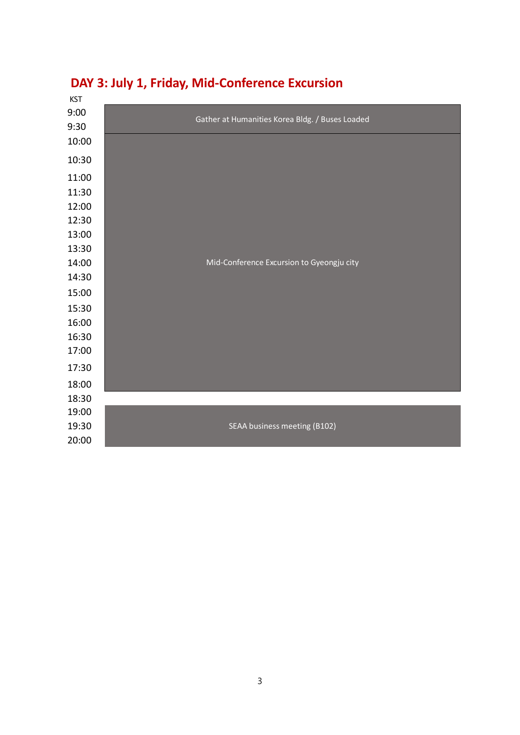

## **[DAY 3: July 1, Friday,](#page-18-0) Mid-Conference Excursion**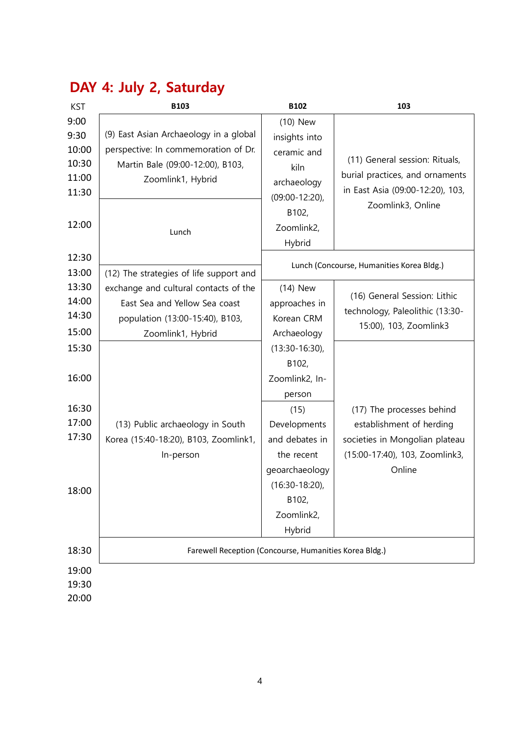| <b>KST</b>                                                | <b>B103</b>                                                                                                                                      | B102                                                                                                                                                                                 | 103                                                                                                                                 |  |  |
|-----------------------------------------------------------|--------------------------------------------------------------------------------------------------------------------------------------------------|--------------------------------------------------------------------------------------------------------------------------------------------------------------------------------------|-------------------------------------------------------------------------------------------------------------------------------------|--|--|
| 9:00<br>9:30<br>10:00<br>10:30<br>11:00<br>11:30<br>12:00 | (9) East Asian Archaeology in a global<br>perspective: In commemoration of Dr.<br>Martin Bale (09:00-12:00), B103,<br>Zoomlink1, Hybrid<br>Lunch | (10) New<br>insights into<br>ceramic and<br>kiln<br>archaeology<br>$(09:00 - 12:20)$ ,<br>B102,<br>Zoomlink2,<br>Hybrid                                                              | (11) General session: Rituals,<br>burial practices, and ornaments<br>in East Asia (09:00-12:20), 103,<br>Zoomlink3, Online          |  |  |
| 12:30<br>13:00                                            | (12) The strategies of life support and                                                                                                          | Lunch (Concourse, Humanities Korea Bldg.)                                                                                                                                            |                                                                                                                                     |  |  |
| 13:30<br>14:00<br>14:30<br>15:00                          | exchange and cultural contacts of the<br>East Sea and Yellow Sea coast<br>population (13:00-15:40), B103,<br>Zoomlink1, Hybrid                   | $(14)$ New<br>approaches in<br>Korean CRM<br>Archaeology                                                                                                                             | (16) General Session: Lithic<br>technology, Paleolithic (13:30-<br>15:00), 103, Zoomlink3                                           |  |  |
| 15:30<br>16:00<br>16:30<br>17:00<br>17:30<br>18:00        | (13) Public archaeology in South<br>Korea (15:40-18:20), B103, Zoomlink1,<br>In-person                                                           | $(13:30-16:30)$ ,<br>B102,<br>Zoomlink2, In-<br>person<br>(15)<br>Developments<br>and debates in<br>the recent<br>geoarchaeology<br>$(16:30-18:20)$<br>B102,<br>Zoomlink2,<br>Hybrid | (17) The processes behind<br>establishment of herding<br>societies in Mongolian plateau<br>(15:00-17:40), 103, Zoomlink3,<br>Online |  |  |
| 18:30                                                     | Farewell Reception (Concourse, Humanities Korea Bldg.)                                                                                           |                                                                                                                                                                                      |                                                                                                                                     |  |  |
| 19:00<br>19:30<br>20:00                                   |                                                                                                                                                  |                                                                                                                                                                                      |                                                                                                                                     |  |  |

# **[DAY 4: July 2, Saturday](#page-19-0)**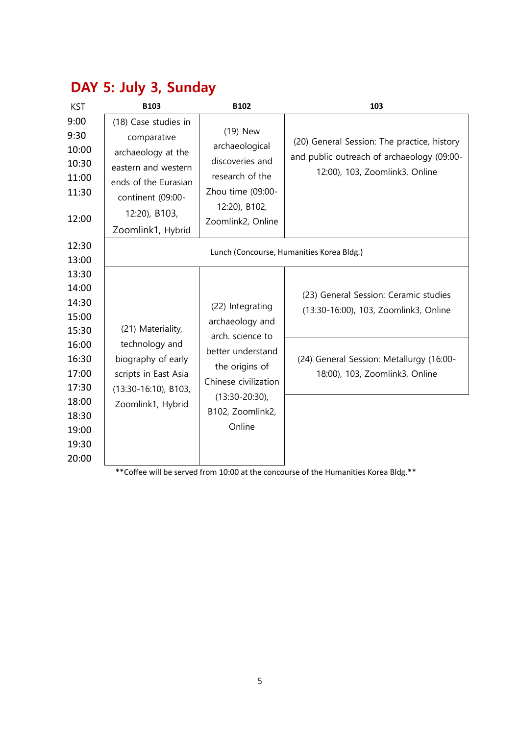| <b>KST</b>                                                | <b>B103</b>                                                                                                                                                         | B102                                                                                                                                                            | 103                                                                                                                         |
|-----------------------------------------------------------|---------------------------------------------------------------------------------------------------------------------------------------------------------------------|-----------------------------------------------------------------------------------------------------------------------------------------------------------------|-----------------------------------------------------------------------------------------------------------------------------|
| 9:00<br>9:30<br>10:00<br>10:30<br>11:00<br>11:30<br>12:00 | (18) Case studies in<br>comparative<br>archaeology at the<br>eastern and western<br>ends of the Eurasian<br>continent (09:00-<br>12:20), B103,<br>Zoomlink1, Hybrid | (19) New<br>archaeological<br>discoveries and<br>research of the<br>Zhou time (09:00-<br>12:20), B102,<br>Zoomlink2, Online                                     | (20) General Session: The practice, history<br>and public outreach of archaeology (09:00-<br>12:00), 103, Zoomlink3, Online |
| 12:30<br>13:00                                            |                                                                                                                                                                     |                                                                                                                                                                 | Lunch (Concourse, Humanities Korea Bldg.)                                                                                   |
| 13:30<br>14:00<br>14:30<br>15:00<br>15:30                 | (21) Materiality,                                                                                                                                                   | (22) Integrating<br>archaeology and<br>arch. science to<br>better understand<br>the origins of<br>Chinese civilization<br>$(13:30-20:30)$ ,<br>B102, Zoomlink2, | (23) General Session: Ceramic studies<br>(13:30-16:00), 103, Zoomlink3, Online                                              |
| 16:00<br>16:30<br>17:00<br>17:30<br>18:00<br>18:30        | technology and<br>biography of early<br>scripts in East Asia<br>$(13:30-16:10)$ , B103,<br>Zoomlink1, Hybrid                                                        |                                                                                                                                                                 | (24) General Session: Metallurgy (16:00-<br>18:00), 103, Zoomlink3, Online                                                  |
| 19:00<br>19:30<br>20:00                                   |                                                                                                                                                                     | Online                                                                                                                                                          |                                                                                                                             |

# **[DAY 5: July 3, Sunday](#page-25-0)**

\*\*Coffee will be served from 10:00 at the concourse of the Humanities Korea Bldg.\*\*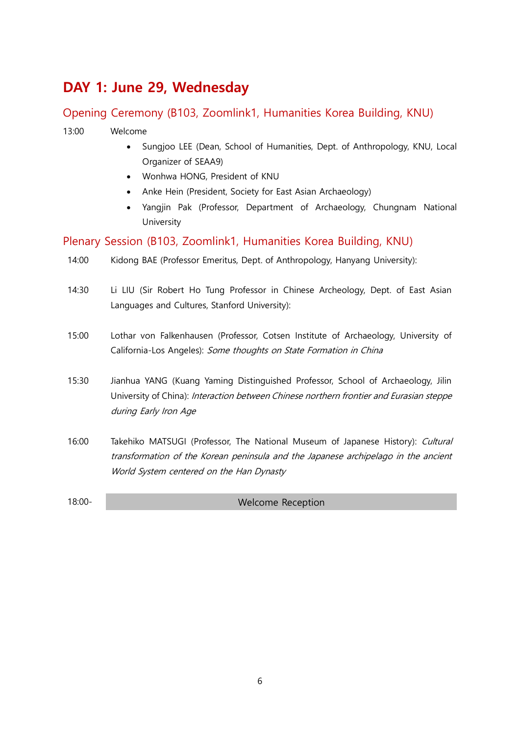# <span id="page-11-0"></span>**DAY 1: June 29, Wednesday**

### <span id="page-11-1"></span>Opening Ceremony (B103, Zoomlink1, Humanities Korea Building, KNU)

### 13:00 Welcome

- Sungjoo LEE (Dean, School of Humanities, Dept. of Anthropology, KNU, Local Organizer of SEAA9)
- Wonhwa HONG, President of KNU
- Anke Hein (President, Society for East Asian Archaeology)
- Yangjin Pak (Professor, Department of Archaeology, Chungnam National University

### <span id="page-11-2"></span>Plenary Session (B103, Zoomlink1, Humanities Korea Building, KNU)

- 14:00 Kidong BAE (Professor Emeritus, Dept. of Anthropology, Hanyang University):
- 14:30 Li LIU (Sir Robert Ho Tung Professor in Chinese Archeology, Dept. of East Asian Languages and Cultures, Stanford University):
- 15:00 Lothar von Falkenhausen (Professor, Cotsen Institute of Archaeology, University of California-Los Angeles): Some thoughts on State Formation in China
- 15:30 Jianhua YANG (Kuang Yaming Distinguished Professor, School of Archaeology, Jilin University of China): Interaction between Chinese northern frontier and Eurasian steppe during Early Iron Age
- 16:00 Takehiko MATSUGI (Professor, The National Museum of Japanese History): Cultural transformation of the Korean peninsula and the Japanese archipelago in the ancient World System centered on the Han Dynasty
- 

18:00- Welcome Reception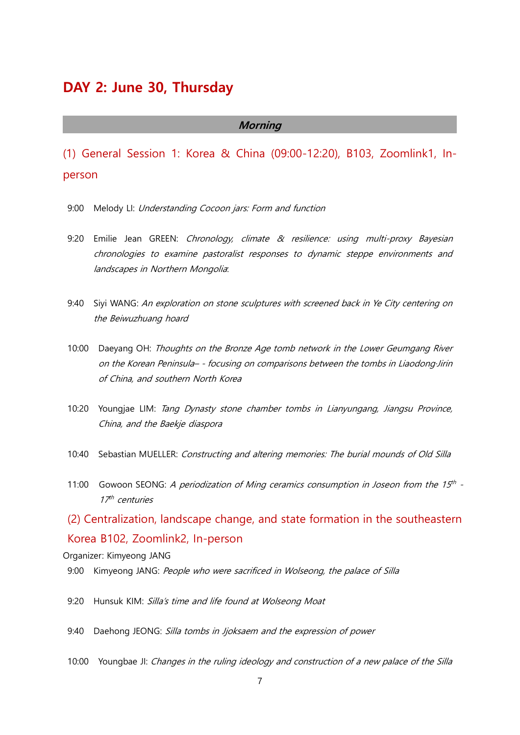### <span id="page-12-0"></span>**DAY 2: June 30, Thursday**

### **Morning**

<span id="page-12-1"></span>(1) General Session 1: Korea & China (09:00-12:20), B103, Zoomlink1, Inperson

- 9:00 Melody LI: Understanding Cocoon jars: Form and function
- 9:20 Emilie Jean GREEN: Chronology, climate & resilience: using multi-proxy Bayesian chronologies to examine pastoralist responses to dynamic steppe environments and landscapes in Northern Mongolia:
- 9:40 Siyi WANG: An exploration on stone sculptures with screened back in Ye City centering on the Beiwuzhuang hoard
- 10:00 Daeyang OH: Thoughts on the Bronze Age tomb network in the Lower Geumgang River on the Korean Peninsula– - focusing on comparisons between the tombs in Liaodong·Jirin of China, and southern North Korea
- 10:20 Youngjae LIM: Tang Dynasty stone chamber tombs in Lianyungang, Jiangsu Province, China, and the Baekje diaspora
- 10:40 Sebastian MUELLER: Constructing and altering memories: The burial mounds of Old Silla
- 11:00 Gowoon SEONG: A periodization of Ming ceramics consumption in Joseon from the 15<sup>th</sup> -17<sup>th</sup> centuries

<span id="page-12-2"></span>(2) Centralization, landscape change, and state formation in the southeastern Korea B102, Zoomlink2, In-person

Organizer: Kimyeong JANG

- 9:00 Kimyeong JANG: People who were sacrificed in Wolseong, the palace of Silla
- 9:20 Hunsuk KIM: Silla's time and life found at Wolseong Moat
- 9:40 Daehong JEONG: Silla tombs in Jjoksaem and the expression of power
- 10:00 Youngbae JI: Changes in the ruling ideology and construction of a new palace of the Silla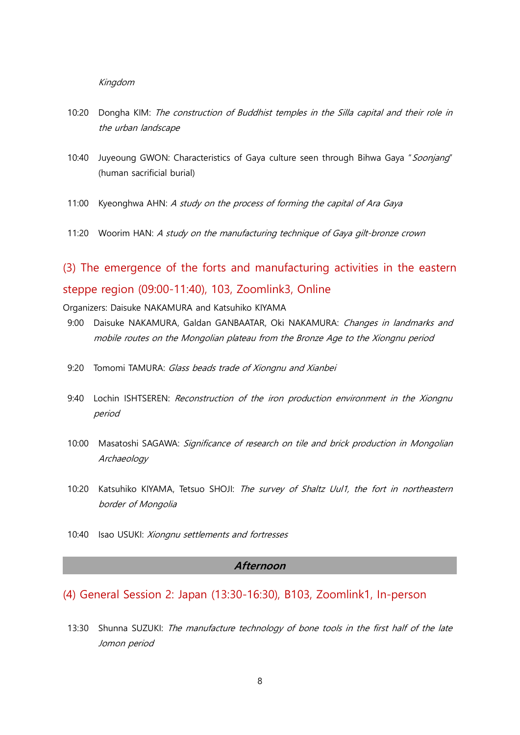#### Kingdom

- 10:20 Dongha KIM: The construction of Buddhist temples in the Silla capital and their role in the urban landscape
- 10:40 Juyeoung GWON: Characteristics of Gaya culture seen through Bihwa Gaya "Soonjang" (human sacrificial burial)
- 11:00 Kyeonghwa AHN: A study on the process of forming the capital of Ara Gaya
- 11:20 Woorim HAN: A study on the manufacturing technique of Gaya gilt-bronze crown

## <span id="page-13-0"></span>(3) The emergence of the forts and manufacturing activities in the eastern steppe region (09:00-11:40), 103, Zoomlink3, Online

Organizers: Daisuke NAKAMURA and Katsuhiko KIYAMA

- 9:00 Daisuke NAKAMURA, Galdan GANBAATAR, Oki NAKAMURA: Changes in landmarks and mobile routes on the Mongolian plateau from the Bronze Age to the Xiongnu period
- 9:20 Tomomi TAMURA: Glass beads trade of Xiongnu and Xianbei
- 9:40 Lochin ISHTSEREN: Reconstruction of the iron production environment in the Xiongnu period
- 10:00 Masatoshi SAGAWA: Significance of research on tile and brick production in Mongolian Archaeology
- 10:20 Katsuhiko KIYAMA, Tetsuo SHOJI: The survey of Shaltz Uul1, the fort in northeastern border of Mongolia
- 10:40 Isao USUKI: Xiongnu settlements and fortresses

#### **Afternoon**

<span id="page-13-1"></span>(4) General Session 2: Japan (13:30-16:30), B103, Zoomlink1, In-person

13:30 Shunna SUZUKI: The manufacture technology of bone tools in the first half of the late Jomon period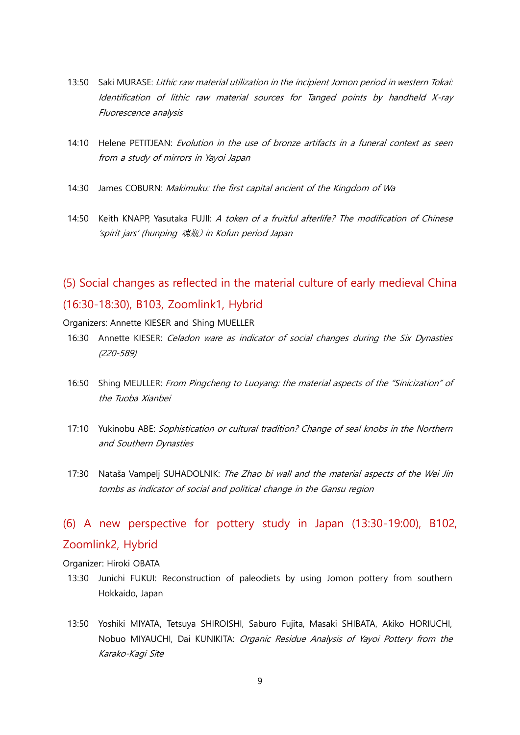- 13:50 Saki MURASE: Lithic raw material utilization in the incipient Jomon period in western Tokai: Identification of lithic raw material sources for Tanged points by handheld X-ray Fluorescence analysis
- 14:10 Helene PETITJEAN: Evolution in the use of bronze artifacts in a funeral context as seen from a study of mirrors in Yayoi Japan
- 14:30 James COBURN: Makimuku: the first capital ancient of the Kingdom of Wa
- 14:50 Keith KNAPP, Yasutaka FUJII: A token of a fruitful afterlife? The modification of Chinese 'spirit jars' (hunping 魂瓶) in Kofun period Japan

## <span id="page-14-0"></span>(5) Social changes as reflected in the material culture of early medieval China (16:30-18:30), B103, Zoomlink1, Hybrid

Organizers: Annette KIESER and Shing MUELLER

- 16:30 Annette KIESER: Celadon ware as indicator of social changes during the Six Dynasties (220-589)
- 16:50 Shing MEULLER: From Pingcheng to Luoyang: the material aspects of the "Sinicization" of the Tuoba Xianbei
- 17:10 Yukinobu ABE: Sophistication or cultural tradition? Change of seal knobs in the Northern and Southern Dynasties
- 17:30 Nataša Vampelj SUHADOLNIK: The Zhao bi wall and the material aspects of the Wei Jin tombs as indicator of social and political change in the Gansu region

### <span id="page-14-1"></span>(6) A new perspective for pottery study in Japan (13:30-19:00), B102, Zoomlink2, Hybrid

Organizer: Hiroki OBATA

- 13:30 Junichi FUKUI: Reconstruction of paleodiets by using Jomon pottery from southern Hokkaido, Japan
- 13:50 Yoshiki MIYATA, Tetsuya SHIROISHI, Saburo Fujita, Masaki SHIBATA, Akiko HORIUCHI, Nobuo MIYAUCHI, Dai KUNIKITA: Organic Residue Analysis of Yayoi Pottery from the Karako-Kagi Site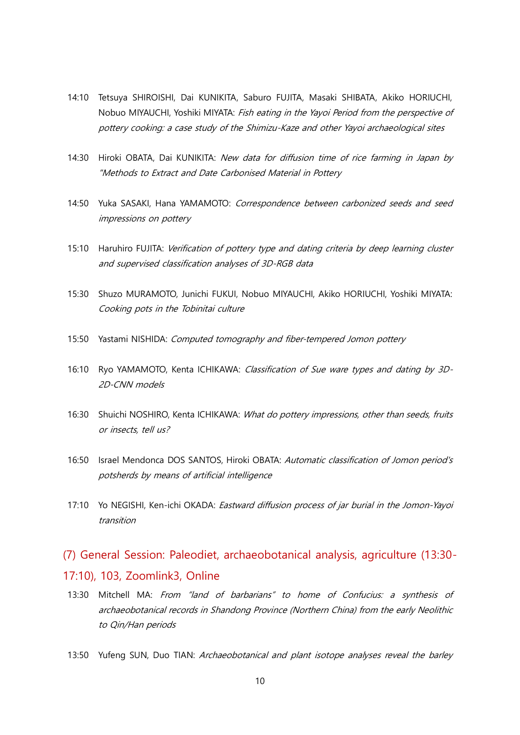- 14:10 Tetsuya SHIROISHI, Dai KUNIKITA, Saburo FUJITA, Masaki SHIBATA, Akiko HORIUCHI, Nobuo MIYAUCHI, Yoshiki MIYATA: Fish eating in the Yayoi Period from the perspective of pottery cooking: a case study of the Shimizu-Kaze and other Yayoi archaeological sites
- 14:30 Hiroki OBATA, Dai KUNIKITA: New data for diffusion time of rice farming in Japan by "Methods to Extract and Date Carbonised Material in Pottery
- 14:50 Yuka SASAKI, Hana YAMAMOTO: Correspondence between carbonized seeds and seed impressions on pottery
- 15:10 Haruhiro FUJITA: Verification of pottery type and dating criteria by deep learning cluster and supervised classification analyses of 3D-RGB data
- 15:30 Shuzo MURAMOTO, Junichi FUKUI, Nobuo MIYAUCHI, Akiko HORIUCHI, Yoshiki MIYATA: Cooking pots in the Tobinitai culture
- 15:50 Yastami NISHIDA: Computed tomography and fiber-tempered Jomon pottery
- 16:10 Ryo YAMAMOTO, Kenta ICHIKAWA: Classification of Sue ware types and dating by 3D-2D-CNN models
- 16:30 Shuichi NOSHIRO, Kenta ICHIKAWA: What do pottery impressions, other than seeds, fruits or insects, tell us?
- 16:50 Israel Mendonca DOS SANTOS, Hiroki OBATA: Automatic classification of Jomon period's potsherds by means of artificial intelligence
- 17:10 Yo NEGISHI, Ken-ichi OKADA: Eastward diffusion process of jar burial in the Jomon-Yayoi transition

### <span id="page-15-0"></span>(7) General Session: Paleodiet, archaeobotanical analysis, agriculture (13:30- 17:10), 103, Zoomlink3, Online

- 13:30 Mitchell MA: From "land of barbarians" to home of Confucius: a synthesis of archaeobotanical records in Shandong Province (Northern China) from the early Neolithic to Qin/Han periods
- 13:50 Yufeng SUN, Duo TIAN: Archaeobotanical and plant isotope analyses reveal the barley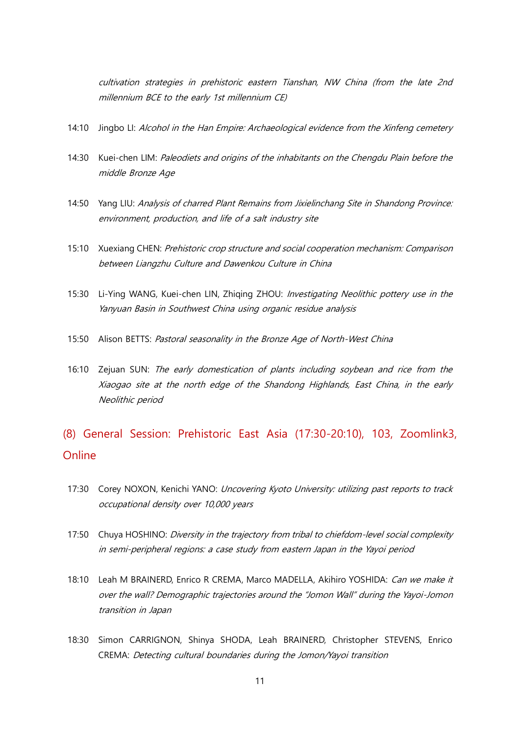cultivation strategies in prehistoric eastern Tianshan, NW China (from the late 2nd millennium BCE to the early 1st millennium CE)

- 14:10 Jingbo LI: Alcohol in the Han Empire: Archaeological evidence from the Xinfeng cemetery
- 14:30 Kuei-chen LIM: Paleodiets and origins of the inhabitants on the Chengdu Plain before the middle Bronze Age
- 14:50 Yang LIU: Analysis of charred Plant Remains from Jixielinchang Site in Shandong Province: environment, production, and life of a salt industry site
- 15:10 Xuexiang CHEN: Prehistoric crop structure and social cooperation mechanism: Comparison between Liangzhu Culture and Dawenkou Culture in China
- 15:30 Li-Ying WANG, Kuei-chen LIN, Zhiging ZHOU: *Investigating Neolithic pottery use in the* Yanyuan Basin in Southwest China using organic residue analysis
- 15:50 Alison BETTS: Pastoral seasonality in the Bronze Age of North-West China
- 16:10 Zejuan SUN: The early domestication of plants including soybean and rice from the Xiaogao site at the north edge of the Shandong Highlands, East China, in the early Neolithic period

### <span id="page-16-0"></span>(8) General Session: Prehistoric East Asia (17:30-20:10), 103, Zoomlink3, Online

- 17:30 Corey NOXON, Kenichi YANO: Uncovering Kyoto University: utilizing past reports to track occupational density over 10,000 years
- 17:50 Chuya HOSHINO: *Diversity in the trajectory from tribal to chiefdom-level social complexity* in semi-peripheral regions: a case study from eastern Japan in the Yayoi period
- 18:10 Leah M BRAINERD, Enrico R CREMA, Marco MADELLA, Akihiro YOSHIDA: Can we make it over the wall? Demographic trajectories around the "Jomon Wall" during the Yayoi-Jomon transition in Japan
- 18:30 Simon CARRIGNON, Shinya SHODA, Leah BRAINERD, Christopher STEVENS, Enrico CREMA: Detecting cultural boundaries during the Jomon/Yayoi transition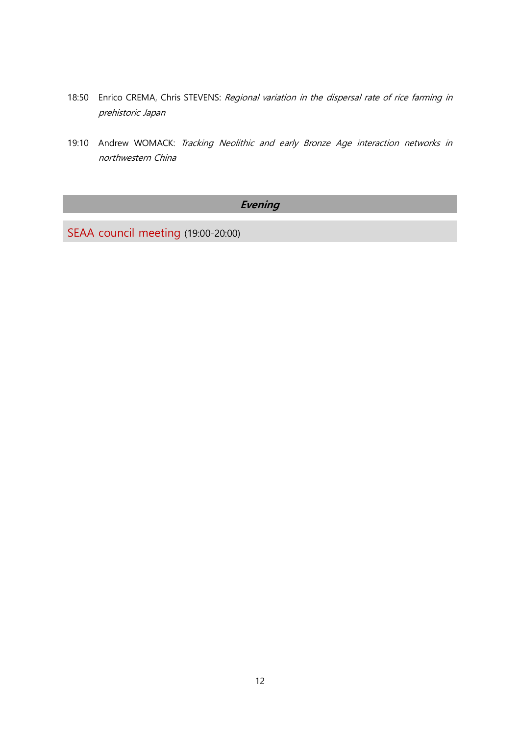- 18:50 Enrico CREMA, Chris STEVENS: Regional variation in the dispersal rate of rice farming in prehistoric Japan
- 19:10 Andrew WOMACK: Tracking Neolithic and early Bronze Age interaction networks in northwestern China

### **Evening**

<span id="page-17-0"></span>SEAA council meeting (19:00-20:00)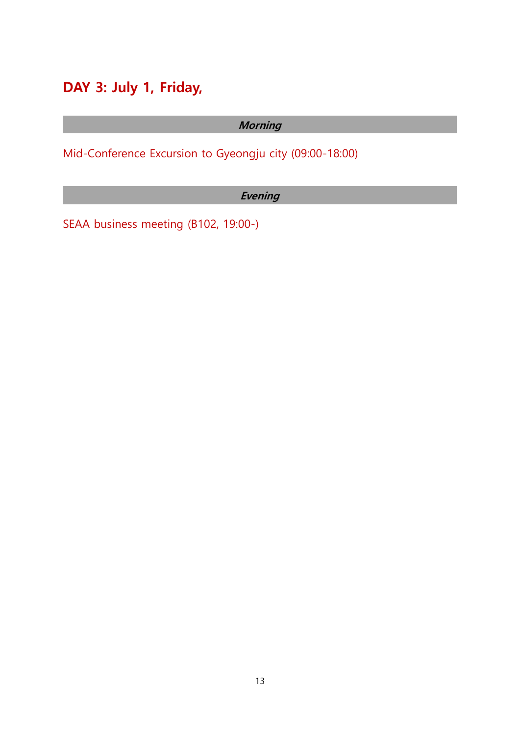# <span id="page-18-0"></span>**DAY 3: July 1, Friday,**

### **Morning**

<span id="page-18-1"></span>Mid-Conference Excursion to Gyeongju city (09:00-18:00)

### **Evening**

<span id="page-18-2"></span>SEAA business meeting (B102, 19:00-)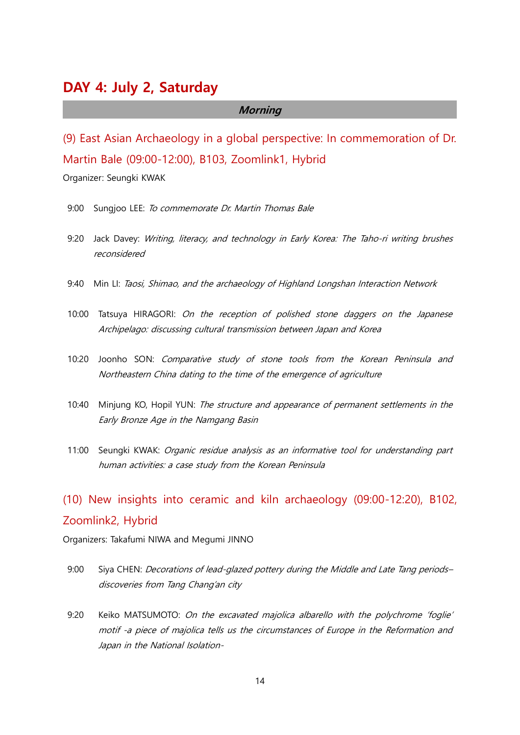### <span id="page-19-0"></span>**DAY 4: July 2, Saturday**

#### **Morning**

<span id="page-19-1"></span>(9) East Asian Archaeology in a global perspective: In commemoration of Dr. Martin Bale (09:00-12:00), B103, Zoomlink1, Hybrid

Organizer: Seungki KWAK

- 9:00 Sungioo LEE: To commemorate Dr. Martin Thomas Bale
- 9:20 Jack Davey: Writing, literacy, and technology in Early Korea: The Taho-ri writing brushes reconsidered
- 9:40 Min LI: Taosi, Shimao, and the archaeology of Highland Longshan Interaction Network
- 10:00 Tatsuya HIRAGORI: On the reception of polished stone daggers on the Japanese Archipelago: discussing cultural transmission between Japan and Korea
- 10:20 Joonho SON: Comparative study of stone tools from the Korean Peninsula and Northeastern China dating to the time of the emergence of agriculture
- 10:40 Minjung KO, Hopil YUN: The structure and appearance of permanent settlements in the Early Bronze Age in the Namgang Basin
- 11:00 Seungki KWAK: Organic residue analysis as an informative tool for understanding part human activities: a case study from the Korean Peninsula

## <span id="page-19-2"></span>(10) New insights into ceramic and kiln archaeology (09:00-12:20), B102, Zoomlink2, Hybrid

Organizers: Takafumi NIWA and Megumi JINNO

- 9:00 Siya CHEN: Decorations of lead-glazed pottery during the Middle and Late Tang periodsdiscoveries from Tang Chang'an city
- 9:20 Keiko MATSUMOTO: On the excavated majolica albarello with the polychrome 'foglie' motif -a piece of majolica tells us the circumstances of Europe in the Reformation and Japan in the National Isolation-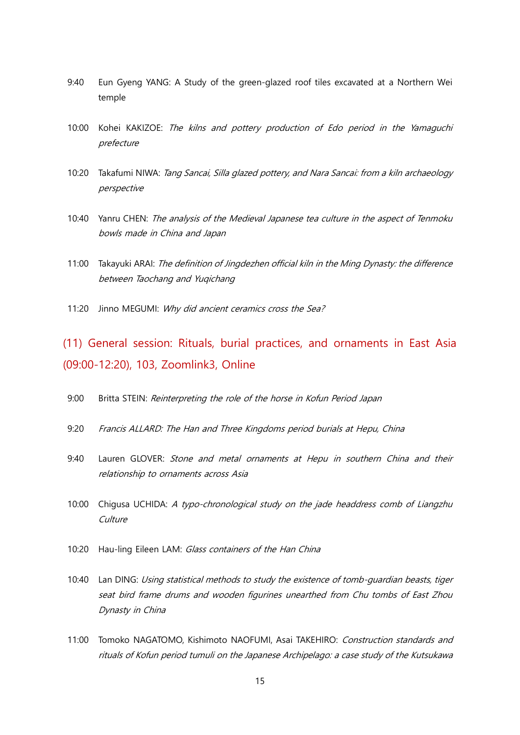- 9:40 Eun Gyeng YANG: A Study of the green-glazed roof tiles excavated at a Northern Wei temple
- 10:00 Kohei KAKIZOE: The kilns and pottery production of Edo period in the Yamaguchi prefecture
- 10:20 Takafumi NIWA: Tang Sancai, Silla glazed pottery, and Nara Sancai: from a kiln archaeology perspective
- 10:40 Yanru CHEN: The analysis of the Medieval Japanese tea culture in the aspect of Tenmoku bowls made in China and Japan
- 11:00 Takayuki ARAI: The definition of Jingdezhen official kiln in the Ming Dynasty: the difference between Taochang and Yuqichang
- 11:20 Jinno MEGUMI: Why did ancient ceramics cross the Sea?

<span id="page-20-0"></span>(11) General session: Rituals, burial practices, and ornaments in East Asia (09:00-12:20), 103, Zoomlink3, Online

- 9:00 Britta STEIN: Reinterpreting the role of the horse in Kofun Period Japan
- 9:20 Francis ALLARD: The Han and Three Kingdoms period burials at Hepu, China
- 9:40 Lauren GLOVER: Stone and metal ornaments at Hepu in southern China and their relationship to ornaments across Asia
- 10:00 Chigusa UCHIDA: A typo-chronological study on the jade headdress comb of Liangzhu Culture
- 10:20 Hau-ling Eileen LAM: Glass containers of the Han China
- 10:40 Lan DING: Using statistical methods to study the existence of tomb-guardian beasts, tiger seat bird frame drums and wooden figurines unearthed from Chu tombs of East Zhou Dynasty in China
- 11:00 Tomoko NAGATOMO, Kishimoto NAOFUMI, Asai TAKEHIRO: Construction standards and rituals of Kofun period tumuli on the Japanese Archipelago: a case study of the Kutsukawa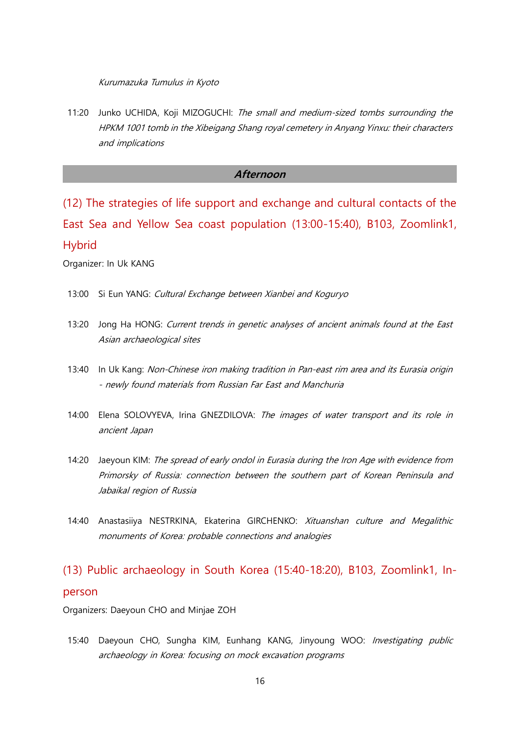Kurumazuka Tumulus in Kyoto

11:20 Junko UCHIDA, Koji MIZOGUCHI: The small and medium-sized tombs surrounding the HPKM 1001 tomb in the Xibeigang Shang royal cemetery in Anyang Yinxu: their characters and implications

### **Afternoon**

<span id="page-21-0"></span>(12) The strategies of life support and exchange and cultural contacts of the East Sea and Yellow Sea coast population (13:00-15:40), B103, Zoomlink1, Hybrid

Organizer: In Uk KANG

- 13:00 Si Eun YANG: Cultural Exchange between Xianbei and Koguryo
- 13:20 Jong Ha HONG: Current trends in genetic analyses of ancient animals found at the East Asian archaeological sites
- 13:40 In Uk Kang: Non-Chinese iron making tradition in Pan-east rim area and its Eurasia origin - newly found materials from Russian Far East and Manchuria
- 14:00 Elena SOLOVYEVA, Irina GNEZDILOVA: The images of water transport and its role in ancient Japan
- 14:20 Jaeyoun KIM: The spread of early ondol in Eurasia during the Iron Age with evidence from Primorsky of Russia: connection between the southern part of Korean Peninsula and Jabaikal region of Russia
- 14:40 Anastasiiya NESTRKINA, Ekaterina GIRCHENKO: Xituanshan culture and Megalithic monuments of Korea: probable connections and analogies

# <span id="page-21-1"></span>(13) Public archaeology in South Korea (15:40-18:20), B103, Zoomlink1, Inperson

Organizers: Daeyoun CHO and Minjae ZOH

15:40 Daeyoun CHO, Sungha KIM, Eunhang KANG, Jinyoung WOO: Investigating public archaeology in Korea: focusing on mock excavation programs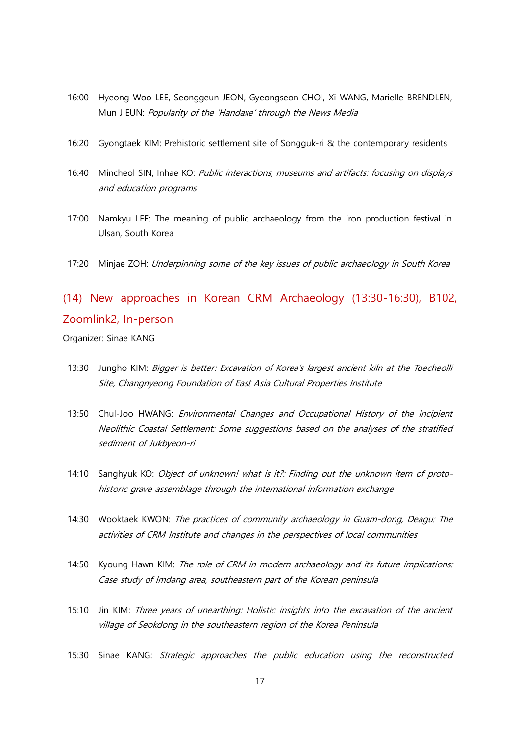- 16:00 Hyeong Woo LEE, Seonggeun JEON, Gyeongseon CHOI, Xi WANG, Marielle BRENDLEN, Mun JIEUN: Popularity of the 'Handaxe' through the News Media
- 16:20 Gyongtaek KIM: Prehistoric settlement site of Songguk-ri & the contemporary residents
- 16:40 Mincheol SIN, Inhae KO: Public interactions, museums and artifacts: focusing on displays and education programs
- 17:00 Namkyu LEE: The meaning of public archaeology from the iron production festival in Ulsan, South Korea
- 17:20 Minjae ZOH: Underpinning some of the key issues of public archaeology in South Korea

## <span id="page-22-0"></span>(14) New approaches in Korean CRM Archaeology (13:30-16:30), B102, Zoomlink2, In-person

Organizer: Sinae KANG

- 13:30 Jungho KIM: Bigger is better: Excavation of Korea's largest ancient kiln at the Toecheolli Site, Changnyeong Foundation of East Asia Cultural Properties Institute
- 13:50 Chul-Joo HWANG: Environmental Changes and Occupational History of the Incipient Neolithic Coastal Settlement: Some suggestions based on the analyses of the stratified sediment of Jukbyeon-ri
- 14:10 Sanghyuk KO: Object of unknown! what is it?: Finding out the unknown item of protohistoric grave assemblage through the international information exchange
- 14:30 Wooktaek KWON: The practices of community archaeology in Guam-dong, Deagu: The activities of CRM Institute and changes in the perspectives of local communities
- 14:50 Kyoung Hawn KIM: The role of CRM in modern archaeology and its future implications: Case study of Imdang area, southeastern part of the Korean peninsula
- 15:10 Jin KIM: Three years of unearthing: Holistic insights into the excavation of the ancient village of Seokdong in the southeastern region of the Korea Peninsula
- 15:30 Sinae KANG: Strategic approaches the public education using the reconstructed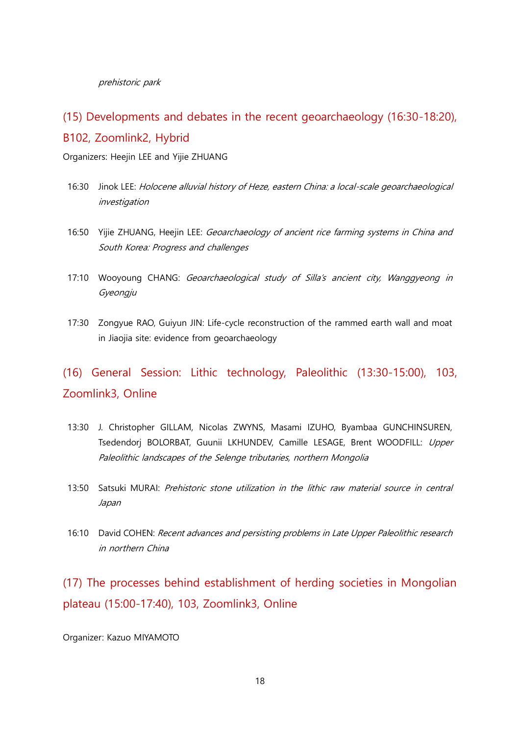prehistoric park

### <span id="page-23-0"></span>(15) Developments and debates in the recent geoarchaeology (16:30-18:20), B102, Zoomlink2, Hybrid

Organizers: Heejin LEE and Yijie ZHUANG

- 16:30 Jinok LEE: Holocene alluvial history of Heze, eastern China: a local-scale geoarchaeological investigation
- 16:50 Yijie ZHUANG, Heejin LEE: Geoarchaeology of ancient rice farming systems in China and South Korea: Progress and challenges
- 17:10 Wooyoung CHANG: Geoarchaeological study of Silla's ancient city, Wanggyeong in Gyeongju
- 17:30 Zongyue RAO, Guiyun JIN: Life-cycle reconstruction of the rammed earth wall and moat in Jiaojia site: evidence from geoarchaeology

## <span id="page-23-1"></span>(16) General Session: Lithic technology, Paleolithic (13:30-15:00), 103, Zoomlink3, Online

- 13:30 J. Christopher GILLAM, Nicolas ZWYNS, Masami IZUHO, Byambaa GUNCHINSUREN, Tsedendorj BOLORBAT, Guunii LKHUNDEV, Camille LESAGE, Brent WOODFILL: Upper Paleolithic landscapes of the Selenge tributaries, northern Mongolia
- 13:50 Satsuki MURAI: Prehistoric stone utilization in the lithic raw material source in central Japan
- 16:10 David COHEN: Recent advances and persisting problems in Late Upper Paleolithic research in northern China

<span id="page-23-2"></span>(17) The processes behind establishment of herding societies in Mongolian plateau (15:00-17:40), 103, Zoomlink3, Online

Organizer: Kazuo MIYAMOTO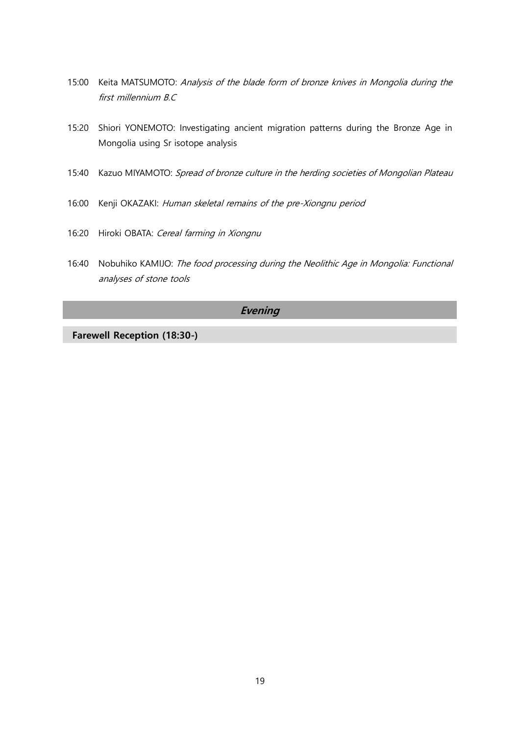- 15:00 Keita MATSUMOTO: Analysis of the blade form of bronze knives in Mongolia during the first millennium B.C
- 15:20 Shiori YONEMOTO: Investigating ancient migration patterns during the Bronze Age in Mongolia using Sr isotope analysis
- 15:40 Kazuo MIYAMOTO: Spread of bronze culture in the herding societies of Mongolian Plateau
- 16:00 Kenji OKAZAKI: Human skeletal remains of the pre-Xiongnu period
- 16:20 Hiroki OBATA: Cereal farming in Xiongnu
- 16:40 Nobuhiko KAMIJO: The food processing during the Neolithic Age in Mongolia: Functional analyses of stone tools

### **Evening**

**Farewell Reception (18:30-)**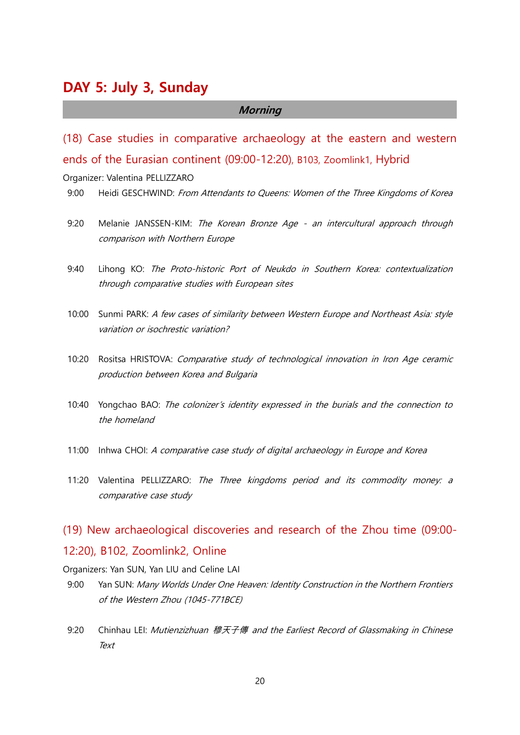### <span id="page-25-0"></span>**DAY 5: July 3, Sunday**

#### **Morning**

<span id="page-25-1"></span>(18) Case studies in comparative archaeology at the eastern and western ends of the Eurasian continent (09:00-12:20), B103, Zoomlink1, Hybrid

Organizer: Valentina PELLIZZARO

- 9:00 Heidi GESCHWIND: From Attendants to Queens: Women of the Three Kingdoms of Korea
- 9:20 Melanie JANSSEN-KIM: The Korean Bronze Age an intercultural approach through comparison with Northern Europe
- 9:40 Lihong KO: The Proto-historic Port of Neukdo in Southern Korea: contextualization through comparative studies with European sites
- 10:00 Sunmi PARK: A few cases of similarity between Western Europe and Northeast Asia: style variation or isochrestic variation?
- 10:20 Rositsa HRISTOVA: Comparative study of technological innovation in Iron Age ceramic production between Korea and Bulgaria
- 10:40 Yongchao BAO: The colonizer's identity expressed in the burials and the connection to the homeland
- 11:00 Inhwa CHOI: A comparative case study of digital archaeology in Europe and Korea
- 11:20 Valentina PELLIZZARO: The Three kingdoms period and its commodity money: a comparative case study

### <span id="page-25-2"></span>(19) New archaeological discoveries and research of the Zhou time (09:00- 12:20), B102, Zoomlink2, Online

Organizers: Yan SUN, Yan LIU and Celine LAI

- 9:00 Yan SUN: Many Worlds Under One Heaven: Identity Construction in the Northern Frontiers of the Western Zhou (1045-771BCE)
- 9:20 Chinhau LEI: Mutienzizhuan 穆天子傳 and the Earliest Record of Glassmaking in Chinese **Text**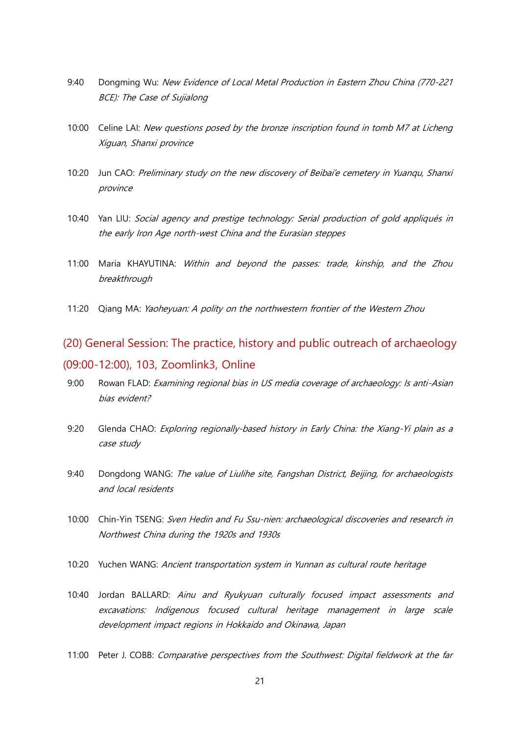- 9:40 Dongming Wu: New Evidence of Local Metal Production in Eastern Zhou China (770-221 BCE): The Case of Sujialong
- 10:00 Celine LAI: New questions posed by the bronze inscription found in tomb M7 at Licheng Xiguan, Shanxi province
- 10:20 Jun CAO: Preliminary study on the new discovery of Beibai'e cemetery in Yuanqu, Shanxi province
- 10:40 Yan LIU: Social agency and prestige technology: Serial production of gold appliqués in the early Iron Age north-west China and the Eurasian steppes
- 11:00 Maria KHAYUTINA: Within and beyond the passes: trade, kinship, and the Zhou breakthrough
- 11:20 Qiang MA: Yaoheyuan: A polity on the northwestern frontier of the Western Zhou

### <span id="page-26-0"></span>(20) General Session: The practice, history and public outreach of archaeology (09:00-12:00), 103, Zoomlink3, Online

- 9:00 Rowan FLAD: Examining regional bias in US media coverage of archaeology: Is anti-Asian bias evident?
- 9:20 Glenda CHAO: Exploring regionally-based history in Early China: the Xiang-Yi plain as a case study
- 9:40 Dongdong WANG: The value of Liulihe site, Fangshan District, Beijing, for archaeologists and local residents
- 10:00 Chin-Yin TSENG: Sven Hedin and Fu Ssu-nien: archaeological discoveries and research in Northwest China during the 1920s and 1930s
- 10:20 Yuchen WANG: Ancient transportation system in Yunnan as cultural route heritage
- 10:40 Jordan BALLARD: Ainu and Ryukyuan culturally focused impact assessments and excavations: Indigenous focused cultural heritage management in large scale development impact regions in Hokkaido and Okinawa, Japan
- 11:00 Peter J. COBB: Comparative perspectives from the Southwest: Digital fieldwork at the far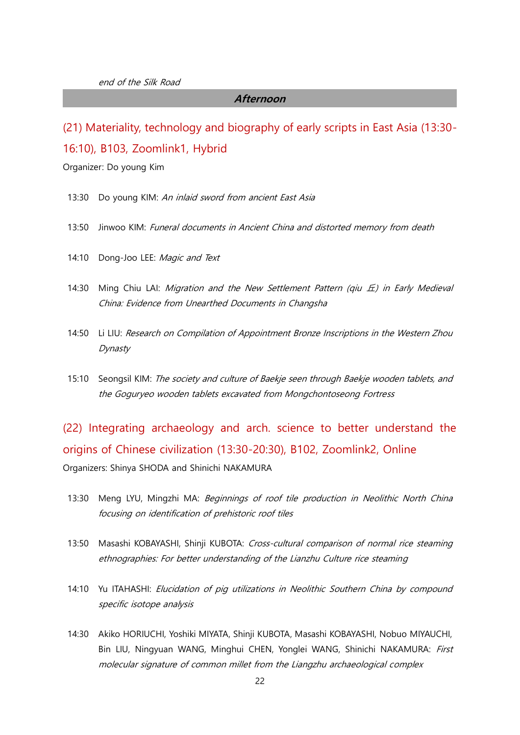#### **Afternoon**

<span id="page-27-0"></span>(21) Materiality, technology and biography of early scripts in East Asia (13:30- 16:10), B103, Zoomlink1, Hybrid

Organizer: Do young Kim

- 13:30 Do young KIM: An inlaid sword from ancient East Asia
- 13:50 Jinwoo KIM: Funeral documents in Ancient China and distorted memory from death
- 14:10 Dong-Joo LEE: Magic and Text
- 14:30 Ming Chiu LAI: Migration and the New Settlement Pattern (qiu  $E$ ) in Early Medieval China: Evidence from Unearthed Documents in Changsha
- 14:50 Li LIU: Research on Compilation of Appointment Bronze Inscriptions in the Western Zhou Dynasty
- 15:10 Seongsil KIM: The society and culture of Baekje seen through Baekje wooden tablets, and the Goguryeo wooden tablets excavated from Mongchontoseong Fortress

<span id="page-27-1"></span>(22) Integrating archaeology and arch. science to better understand the origins of Chinese civilization (13:30-20:30), B102, Zoomlink2, Online Organizers: Shinya SHODA and Shinichi NAKAMURA

- 13:30 Meng LYU, Mingzhi MA: Beginnings of roof tile production in Neolithic North China focusing on identification of prehistoric roof tiles
- 13:50 Masashi KOBAYASHI, Shinji KUBOTA: Cross-cultural comparison of normal rice steaming ethnographies: For better understanding of the Lianzhu Culture rice steaming
- 14:10 Yu ITAHASHI: Elucidation of pig utilizations in Neolithic Southern China by compound specific isotope analysis
- 14:30 Akiko HORIUCHI, Yoshiki MIYATA, Shinji KUBOTA, Masashi KOBAYASHI, Nobuo MIYAUCHI, Bin LIU, Ningyuan WANG, Minghui CHEN, Yonglei WANG, Shinichi NAKAMURA: First molecular signature of common millet from the Liangzhu archaeological complex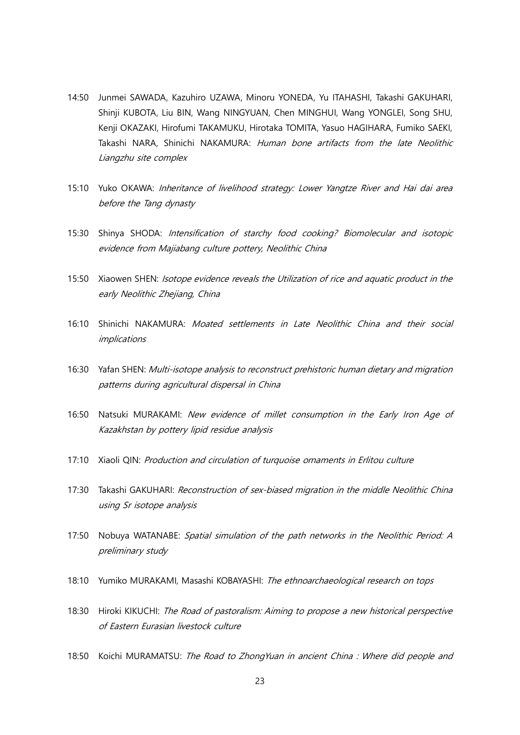- 14:50 Junmei SAWADA, Kazuhiro UZAWA, Minoru YONEDA, Yu ITAHASHI, Takashi GAKUHARI, Shinji KUBOTA, Liu BIN, Wang NINGYUAN, Chen MINGHUI, Wang YONGLEI, Song SHU, Kenji OKAZAKI, Hirofumi TAKAMUKU, Hirotaka TOMITA, Yasuo HAGIHARA, Fumiko SAEKI, Takashi NARA, Shinichi NAKAMURA: Human bone artifacts from the late Neolithic Liangzhu site complex
- 15:10 Yuko OKAWA: Inheritance of livelihood strategy: Lower Yangtze River and Hai dai area before the Tang dynasty
- 15:30 Shinya SHODA: Intensification of starchy food cooking? Biomolecular and isotopic evidence from Majiabang culture pottery, Neolithic China
- 15:50 Xiaowen SHEN: *Isotope evidence reveals the Utilization of rice and aquatic product in the* early Neolithic Zhejiang, China
- 16:10 Shinichi NAKAMURA: Moated settlements in Late Neolithic China and their social implications
- 16:30 Yafan SHEN: Multi-isotope analysis to reconstruct prehistoric human dietary and migration patterns during agricultural dispersal in China
- 16:50 Natsuki MURAKAMI: New evidence of millet consumption in the Early Iron Age of Kazakhstan by pottery lipid residue analysis
- 17:10 Xiaoli QIN: Production and circulation of turquoise ornaments in Erlitou culture
- 17:30 Takashi GAKUHARI: Reconstruction of sex-biased migration in the middle Neolithic China using Sr isotope analysis
- 17:50 Nobuya WATANABE: Spatial simulation of the path networks in the Neolithic Period: A preliminary study
- 18:10 Yumiko MURAKAMI, Masashi KOBAYASHI: The ethnoarchaeological research on tops
- 18:30 Hiroki KIKUCHI: The Road of pastoralism: Aiming to propose a new historical perspective of Eastern Eurasian livestock culture
- 18:50 Koichi MURAMATSU: The Road to ZhongYuan in ancient China: Where did people and